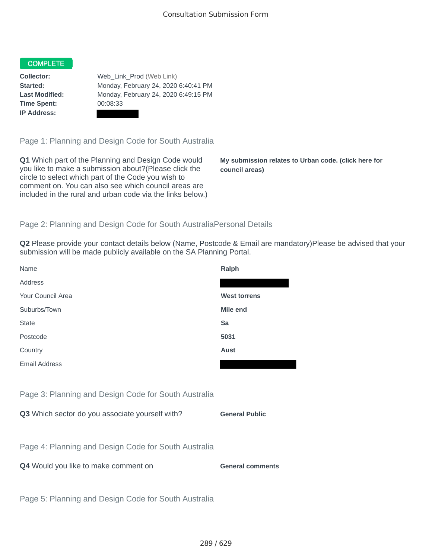#### COMPLETE

**Time Spent:** 00:08:33 **IP Address:**

**Collector:** Web\_Link\_Prod (Web Link) **Started:** Monday, February 24, 2020 6:40:41 PM **Last Modified:** Monday, February 24, 2020 6:49:15 PM

Page 1: Planning and Design Code for South Australia

**Q1** Which part of the Planning and Design Code would you like to make a submission about?(Please click the circle to select which part of the Code you wish to comment on. You can also see which council areas are included in the rural and urban code via the links below.)

**My submission relates to Urban code. (click here for council areas)**

### Page 2: Planning and Design Code for South AustraliaPersonal Details

**Q2** Please provide your contact details below (Name, Postcode & Email are mandatory)Please be advised that your submission will be made publicly available on the SA Planning Portal.

| Name                                                 | Ralph                   |
|------------------------------------------------------|-------------------------|
| Address                                              |                         |
| Your Council Area                                    | <b>West torrens</b>     |
| Suburbs/Town                                         | Mile end                |
| <b>State</b>                                         | Sa                      |
| Postcode                                             | 5031                    |
| Country                                              | <b>Aust</b>             |
| <b>Email Address</b>                                 |                         |
|                                                      |                         |
| Page 3: Planning and Design Code for South Australia |                         |
| Q3 Which sector do you associate yourself with?      | <b>General Public</b>   |
|                                                      |                         |
| Page 4: Planning and Design Code for South Australia |                         |
| Q4 Would you like to make comment on                 | <b>General comments</b> |
|                                                      |                         |
| Page 5: Planning and Design Code for South Australia |                         |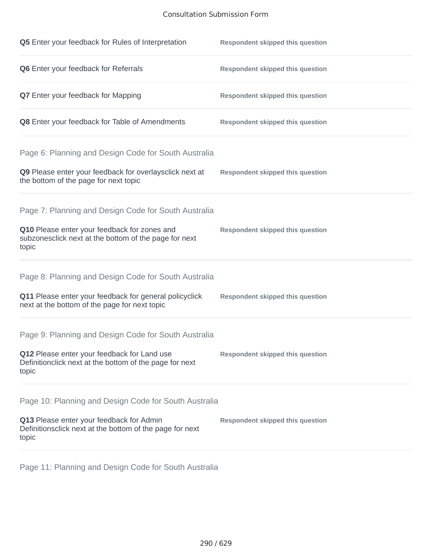### Consultation Submission Form

| Q5 Enter your feedback for Rules of Interpretation                                                              | <b>Respondent skipped this question</b> |
|-----------------------------------------------------------------------------------------------------------------|-----------------------------------------|
| Q6 Enter your feedback for Referrals                                                                            | <b>Respondent skipped this question</b> |
| <b>Q7</b> Enter your feedback for Mapping                                                                       | <b>Respondent skipped this question</b> |
| Q8 Enter your feedback for Table of Amendments                                                                  | <b>Respondent skipped this question</b> |
| Page 6: Planning and Design Code for South Australia                                                            |                                         |
| Q9 Please enter your feedback for overlaysclick next at<br>the bottom of the page for next topic                | <b>Respondent skipped this question</b> |
| Page 7: Planning and Design Code for South Australia                                                            |                                         |
| Q10 Please enter your feedback for zones and<br>subzonesclick next at the bottom of the page for next<br>topic  | <b>Respondent skipped this question</b> |
| Page 8: Planning and Design Code for South Australia                                                            |                                         |
| Q11 Please enter your feedback for general policyclick<br>next at the bottom of the page for next topic         | <b>Respondent skipped this question</b> |
| Page 9: Planning and Design Code for South Australia                                                            |                                         |
| Q12 Please enter your feedback for Land use<br>Definitionclick next at the bottom of the page for next<br>topic | <b>Respondent skipped this question</b> |
| Page 10: Planning and Design Code for South Australia                                                           |                                         |
| Q13 Please enter your feedback for Admin<br>Definitionsclick next at the bottom of the page for next<br>topic   | <b>Respondent skipped this question</b> |

Page 11: Planning and Design Code for South Australia